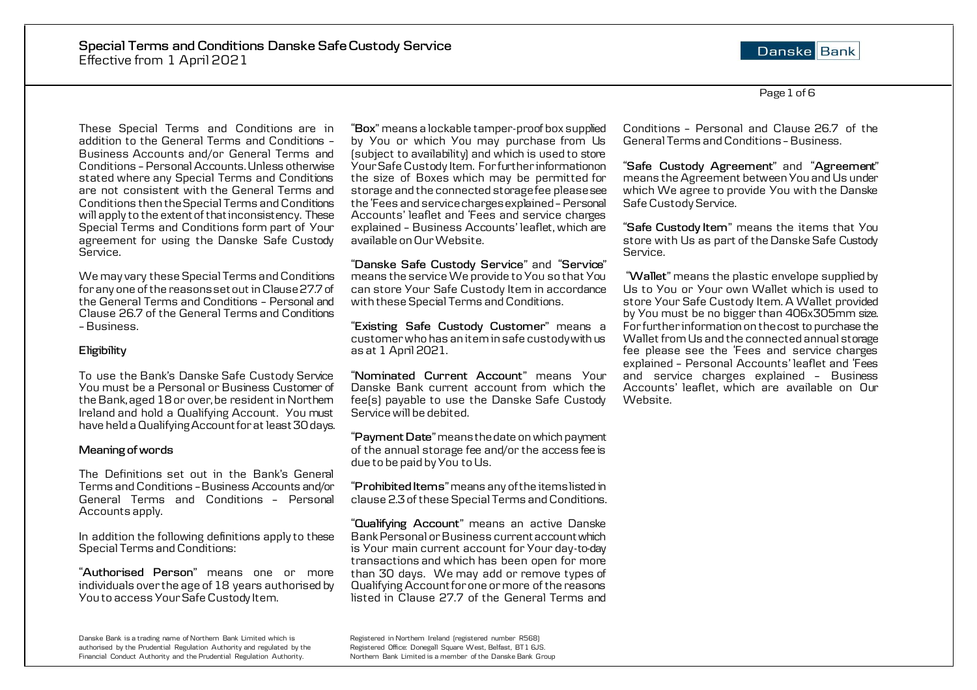Danske Bank

Page 1 of 6

These Special Terms and Conditions are in addition to the General Terms and Conditions – Business Accounts and/or General Terms and Conditions – Personal Accounts. Unless otherwise stated where any Special Terms and Conditions are not consistent with the General Terms and Conditions then the Special Terms and Conditions will apply to the extent of that inconsistency. These Special Terms and Conditions form part of Your agreement for using the Danske Safe Custody Service.

We may vary these Special Terms and Conditions for any one of the reasons set out in Clause 27.7 of the General Terms and Conditions – Personal and Clause 26.7 of the General Terms and Conditions –Business.

## **Eligibility**

To use the Bank's Danske Safe Custody Service You must be a Personal or Business Customer of the Bank, aged 18 or over, be resident in Northern Ireland and hold a Qualifying Account. You must have held a Qualifying Account for at least 30 days.

## **Meaning of words**

The Definitions set out in the Bank's General Terms and Conditions –Business Accounts and/or General Terms and Conditions – Personal Accounts apply.

In addition the following definitions apply to these Special Terms and Conditions:

"**Authorised Person**" means one or more individuals over the age of 18 years authorised by You to access Your Safe Custody Item.

Danske Bank is a trading name of Northern Bank Limited which is Registered in Northern Ireland (registered number R568)<br>Registered Office: Donegall Square West, Belfast, BT1 6JS. authorised by the Prudential Regulation Authority and regulated by the Financial Conduct Authority and the Prudential Regulation Authority. Northern Bank Limited is a member of the Danske Bank Group

"**Box**" means a lockable tamper-proof box supplied by You or which You may purchase from Us (subject to availability) and which is used to store Your Safe Custody Item. For further information on the size of Boxes which may be permitted for storage and the connected storage fee please see the 'Fees and service charges explained– Personal Accounts' leaflet and 'Fees and service charges explained – Business Accounts' leaflet, which are available on Our Website.

"**Danske Safe Custody Service**" and "**Service**" means the service We provide to You so that You can store Your Safe Custody Item in accordance with these Special Terms and Conditions.

"**Existing Safe Custody Customer**" means a customer who has an item in safe custody with us as at 1 April 2021.

"**Nominated Current Account**" means Your Danske Bank current account from which the fee(s) payable to use the Danske Safe Custody Service will be debited.

"**Payment Date**" means the date on which payment of the annual storage fee and/or the access fee is due to be paid by You to Us.

"**Prohibited Items**" means any of the items listed in clause 2.3 of these Special Terms and Conditions.

"**Qualifying Account**" means an active Danske Bank Personal or Business current account which is Your main current account for Your day-to-day transactions and which has been open for more than 30 days. We may add or remove types of Qualifying Account for one or more of the reasons listed in Clause 27.7 of the General Terms and

Conditions – Personal and Clause 26.7 of the General Terms and Conditions –Business.

"**Safe Custody Agreement**" and "**Agreement**" means the Agreement between You and Us under which We agree to provide You with the Danske Safe Custody Service.

"**Safe Custody Item**" means the items that You store with Us as part of the Danske Safe Custody Service.

"**Wallet**" means the plastic envelope supplied by Us to You or Your own Wallet which is used to store Your Safe Custody Item. A Wallet provided by You must be no bigger than 406x305mm size. For further information on the cost to purchase the Wallet from Us and the connected annual storage fee please see the 'Fees and service charges explained – Personal Accounts' leaflet and 'Fees and service charges explained – Business Accounts' leaflet, which are available on Our Website.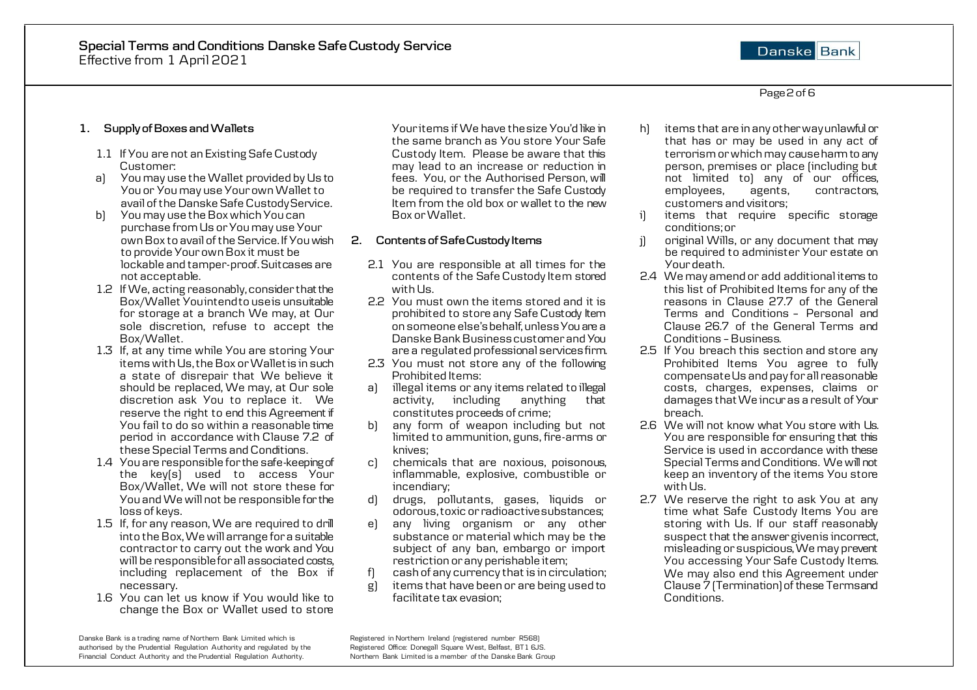# Danske Bank

Page 2 of 6

# **1. Supply of Boxes and Wallets**

- 1.1 If You are not an Existing Safe Custody Customer:
- a) You may use the Wallet provided by Us to You or You may use Your own Wallet to avail of the Danske Safe Custody Service.
- b) You may use the Box which You can purchase from Us or You may use Your own Box to avail of the Service. If You wish to provide Your own Box it must be lockable and tamper-proof. Suitcases are not acceptable.
- 1.2 If We, acting reasonably, consider that the Box/Wallet You intend to use is unsuitable for storage at a branch We may, at Our sole discretion, refuse to accept the Box/Wallet.
- 1.3 If, at any time while You are storing Your items with Us, the Box or Wallet is in such a state of disrepair that We believe it should be replaced, We may, at Our sole discretion ask You to replace it. We reserve the right to end this Agreement if You fail to do so within a reasonable time period in accordance with Clause 7.2 of these Special Terms and Conditions.
- 1.4 You are responsible for the safe-keeping of the key(s) used to access Your Box/Wallet, We will not store these for You and We will not be responsible for the loss of keys.
- 1.5 If, for any reason, We are required to drill into the Box, We will arrange for a suitable contractor to carry out the work and You will be responsible for all associated costs, including replacement of the Box if necessary.
- 1.6 You can let us know if You would like to change the Box or Wallet used to store

Danske Bank is a trading name of Northern Bank Limited which is Registered in Northern Ireland (registered number R568)<br>Registered Office: Donegall Square West, Belfast, BT1 6J5. authorised by the Prudential Regulation Authority and regulated by the Financial Conduct Authority and the Prudential Regulation Authority. Northern Bank Limited is a member of the Danske Bank Group

Your items if We have the size You'd like in the same branch as You store Your Safe Custody Item. Please be aware that this may lead to an increase or reduction in fees. You, or the Authorised Person, will be required to transfer the Safe Custody Item from the old box or wallet to the new Box or Wallet.

## **2. Contents of Safe Custody Items**

- 2.1 You are responsible at all times for the contents of the Safe Custody Item stored with Us.
- 2.2 You must own the items stored and it is prohibited to store any Safe Custody Item on someone else's behalf, unless You are a Danske Bank Business customer and You are a regulated professional services firm.
- 2.3 You must not store any of the following Prohibited Items:
- a) illegal items or any items related to illegal<br>activity, including anything that  $\arctivity$ , including anything constitutes proceeds of crime;
- b) any form of weapon including but not limited to ammunition, guns, fire-arms or knives;
- c) chemicals that are noxious, poisonous, inflammable, explosive, combustible or incendiary;
- d) drugs, pollutants, gases, liquids or odorous, toxic or radioactive substances;
- e) any living organism or any other substance or material which may be the subject of any ban, embargo or import restriction or any perishable item;
- f) cash of any currency that is in circulation;
- items that have been or are being used to facilitate tax evasion;
- h) items that are in any other way unlawful or that has or may be used in any act of terrorism or which may cause harm to any person, premises or place (including but not limited to) any of our offices,<br>employees, agents, contractors, employees. customers and visitors;
- i) items that require specific storage conditions; or
- j) original Wills, or any document that may be required to administer Your estate on Your death.
- 2.4 We may amend or add additional items to this list of Prohibited Items for any of the reasons in Clause 27.7 of the General Terms and Conditions – Personal and Clause 26.7 of the General Terms and Conditions –Business.
- 2.5 If You breach this section and store any Prohibited Items You agree to fully compensate Us and pay for all reasonable costs, charges, expenses, claims or damages that We incur as a result of Your breach.
- 2.6 We will not know what You store with Us. You are responsible for ensuring that this Service is used in accordance with these Special Terms and Conditions. We will not keep an inventory of the items You store with Us.
- 2.7 We reserve the right to ask You at any time what Safe Custody Items You are storing with Us. If our staff reasonably suspect that the answer given is incorrect. misleading or suspicious, We may prevent You accessing Your Safe Custody Items. We may also end this Agreement under Clause 7 (Termination) of these Terms and Conditions.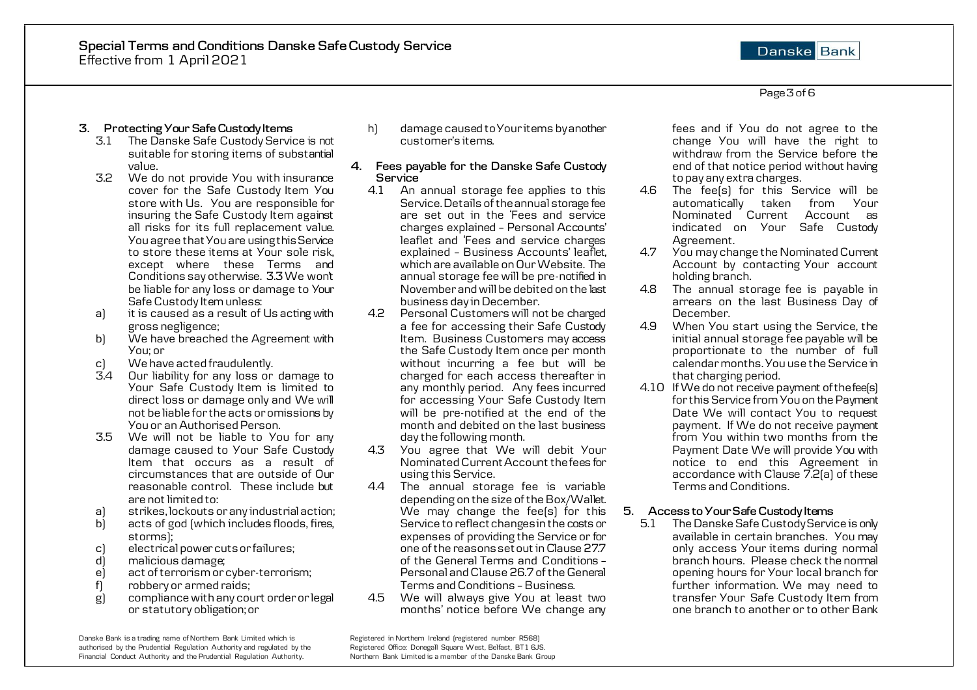# Danske Bank

#### Page 3of 6

## **3. Protecting Your Safe Custody Items**

- 3.1 The Danske Safe Custody Service is not suitable for storing items of substantial value.
- 3.2 We do not provide You with insurance cover for the Safe Custody Item You store with Us. You are responsible for insuring the Safe Custody Item against all risks for its full replacement value. You agree that You are using this Service to store these items at Your sole risk, except where these Terms and Conditions say otherwise. 3.3 We won't be liable for any loss or damage to Your Safe Custody Item unless:
- a) it is caused as a result of Us acting with gross negligence;
- b) We have breached the Agreement with You; or
- c) We have acted fraudulently.<br>34 Our liability for any loss on
- Our liability for any loss or damage to Your Safe Custody Item is limited to direct loss or damage only and We will not be liable for the acts or omissions by You or an Authorised Person.
- 3.5 We will not be liable to You for any damage caused to Your Safe Custody Item that occurs as a result of circumstances that are outside of Our reasonable control. These include but are not limited to:
- a) strikes, lockouts or any industrial action;
- acts of god (which includes floods, fires, storms);
- c) electrical power cuts or failures;<br>d) malicious damage;
- malicious damage;
- e) act of terrorism or cyber-terrorism;
- f) robbery or armed raids;<br>g) compliance with any com
- g) compliance with any court order or legal or statutory obligation; or

Danske Bank is a trading name of Northern Bank Limited which is Registered in Northern Ireland (registered number R568)<br>Registered Office: Donegall Square West, Belfast, BT1 6J5. authorised by the Prudential Regulation Authority and regulated by the Financial Conduct Authority and the Prudential Regulation Authority. Northern Bank Limited is a member of the Danske Bank Group

h) damage caused to Your items by another customer's items.

#### **4. Fees payable for the Danske Safe Custody Service**

- 4.1 An annual storage fee applies to this Service. Details of the annual storage fee are set out in the 'Fees and service charges explained – Personal Accounts' leaflet and 'Fees and service charges explained – Business Accounts' leaflet, which are available on Our Website. The annual storage fee will be pre-notified in November and will be debited on the last business day in December.
- 4.2 Personal Customers will not be charged a fee for accessing their Safe Custody Item. Business Customers may access the Safe Custody Item once per month without incurring a fee but will be charged for each access thereafter in any monthly period. Any fees incurred for accessing Your Safe Custody Item will be pre-notified at the end of the month and debited on the last business day the following month.
- 4.3 You agree that We will debit Your Nominated Current Account the fees for using this Service.
- 4.4 The annual storage fee is variable depending on the size of the Box/Wallet. We may change the fee(s) for this Service to reflect changes in the costs or expenses of providing the Service or for one of the reasons set out in Clause 27.7 of the General Terms and Conditions – Personal and Clause 26.7 of the General Terms and Conditions –Business.
- 4.5 We will always give You at least two months' notice before We change any

fees and if You do not agree to the change You will have the right to withdraw from the Service before the end of that notice period without having to pay any extra charges.

- 4.6 The fee(s) for this Service will be automatically taken from Your Nominated Current Account as indicated on Your Safe Custody Agreement.
- 4.7 You may change the Nominated Current Account by contacting Your account holding branch.
- 4.8 The annual storage fee is payable in arrears on the last Business Day of December.
- 4.9 When You start using the Service, the initial annual storage fee payable will be proportionate to the number of full calendar months. You use the Service in that charging period.
- 4.10 If We do not receive payment of the fee(s) for this Service from You on the Payment Date We will contact You to request payment. If We do not receive payment from You within two months from the Payment Date We will provide You with notice to end this Agreement in accordance with Clause 7.2(a) of these Terms and Conditions.

## **5. Access to Your Safe Custody Items**

5.1 The Danske Safe Custody Service is only available in certain branches. You may only access Your items during normal branch hours. Please check the normal opening hours for Your local branch for further information. We may need to transfer Your Safe Custody Item from one branch to another or to other Bank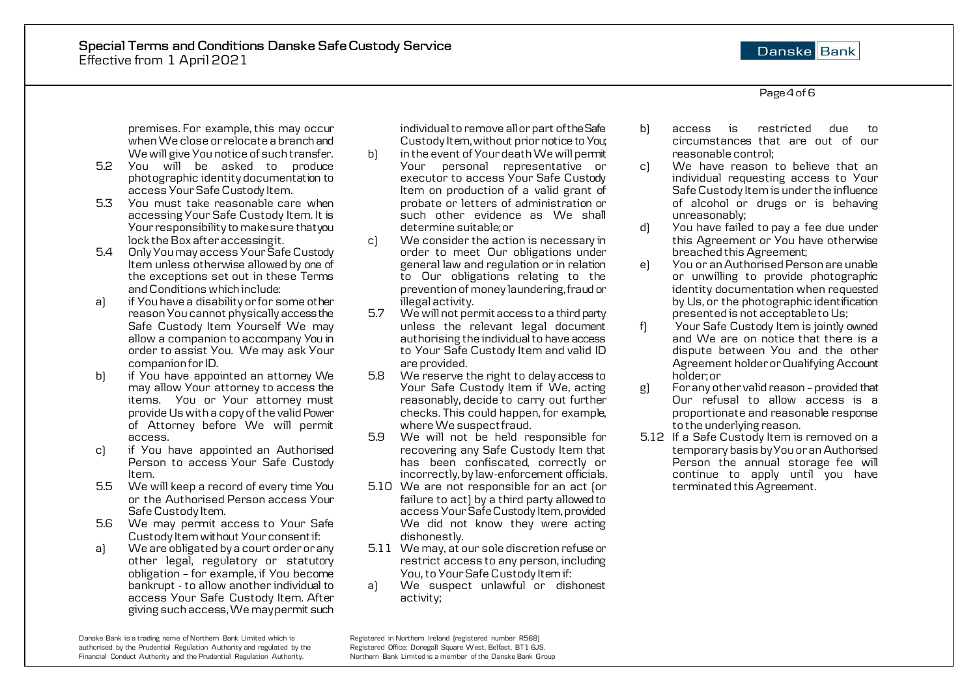Danske Bank

Page 4 of 6

premises. For example, this may occur when We close or relocate a branch and We will give You notice of such transfer.

- 5.2 You will be asked to produce photographic identity documentation to access Your Safe Custody Item.
- 5.3 You must take reasonable care when accessing Your Safe Custody Item. It is Your responsibility to make sure that you lock the Box after accessing it.
- 5.4 Only You may access Your Safe Custody Item unless otherwise allowed by one of the exceptions set out in these Terms and Conditions which include:
- a) if You have a disability or for some other reason You cannot physically access the Safe Custody Item Yourself We may allow a companion to accompany You in order to assist You. We may ask Your companion for ID.
- b) if You have appointed an attorney We may allow Your attorney to access the items. You or Your attorney must provide Us with a copy of the valid Power of Attorney before We will permit access.
- c) if You have appointed an Authorised Person to access Your Safe Custody Item.
- 5.5 We will keep a record of every time You or the Authorised Person access Your Safe Custody Item.
- 5.6 We may permit access to Your Safe Custody Item without Your consent if:
- a) We are obligated by a court order or any other legal, regulatory or statutory obligation – for example, if You become bankrupt - to allow another individual to access Your Safe Custody Item. After giving such access, We may permit such

individual to remove all or part of the Safe Custody Item, without prior notice to You;

- b) in the event of Your death We will permit Your personal representative or executor to access Your Safe Custody Item on production of a valid grant of probate or letters of administration or such other evidence as We shall determine suitable; or
- c) We consider the action is necessary in order to meet Our obligations under general law and regulation or in relation to Our obligations relating to the prevention of money laundering, fraud or illegal activity.
- 5.7 We will not permit access to a third party unless the relevant legal document  $authorising$  the individual to have access to Your Safe Custody Item and valid ID are provided.
- 5.8 We reserve the right to delay access to Your Safe Custody Item if We, acting reasonably, decide to carry out further checks. This could happen, for example, where We suspect fraud.
- 5.9 We will not be held responsible for recovering any Safe Custody Item that has been confiscated, correctly or incorrectly, by law-enforcement officials.
- 5.10 We are not responsible for an act (or failure to act) by a third party allowed to access Your Safe Custody Item, provided We did not know they were acting dishonestly.
- 5.11 We may, at our sole discretion refuse or restrict access to any person, including You, to Your Safe Custody Item if:
- a) We suspect unlawful or dishonest activity;

b) access is restricted due to circumstances that are out of our reasonable control;

c) We have reason to believe that an individual requesting access to Your Safe Custody Item is under the influence of alcohol or drugs or is behaving unreasonably;

- d) You have failed to pay a fee due under this Agreement or You have otherwise breached this Agreement;
- e) You or an Authorised Person are unable or unwilling to provide photographic identity documentation when requested by Us, or the photographic identification presented is not acceptable to Us;
- f) Your Safe Custody Item is jointly owned and We are on notice that there is a dispute between You and the other Agreement holder or Qualifying Account holder; or
- g) For any other valid reason provided that Our refusal to allow access is a proportionate and reasonable response to the underlying reason.
- 5.12 If a Safe Custody Item is removed on a temporary basis by You or an Authorised Person the annual storage fee will continue to apply until you have terminated this Agreement.

Danske Bank is a trading name of Northern Bank Limited which is Registered in Northern Ireland (registered number R568)<br>Registered Office: Donegall Square West, Belfast, BT1 6JS. authorised by the Prudential Regulation Authority and regulated by the Financial Conduct Authority and the Prudential Regulation Authority. Northern Bank Limited is a member of the Danske Bank Group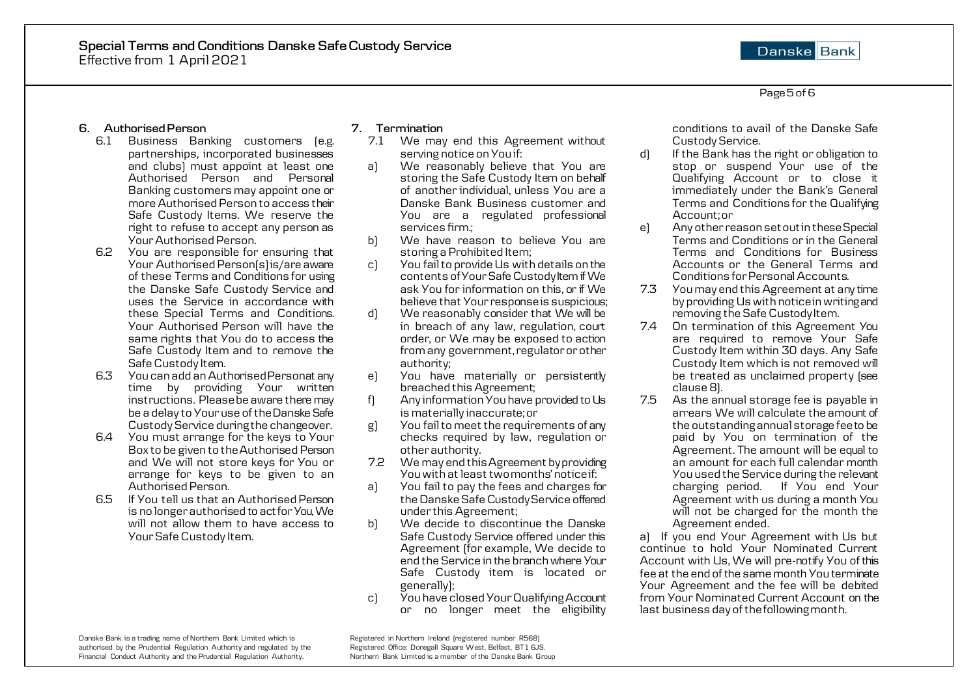Danske Bank

Page 5 of 6

### **6. Authorised Person**

- 6.1 Business Banking customers (e.g. partnerships, incorporated businesses and clubs) must appoint at least one Authorised Person and Personal Banking customers may appoint one or more Authorised Person to access their Safe Custody Items. We reserve the right to refuse to accept any person as Your Authorised Person.
- 6.2 You are responsible for ensuring that Your Authorised Person(s) is/are aware of these Terms and Conditions for using the Danske Safe Custody Service and uses the Service in accordance with these Special Terms and Conditions. Your Authorised Person will have the same rights that You do to access the Safe Custody Item and to remove the Safe Custody Item.
- 6.3 You can add an Authorised Personat any time by providing Your written instructions. Please be aware there may be a delay to Your use of the Danske Safe Custody Service during the changeover.
- 6.4 You must arrange for the keys to Your Box to be given to the Authorised Person and We will not store keys for You or arrange for keys to be given to an Authorised Person.
- 6.5 If You tell us that an Authorised Person is no longer authorised to act for You, We will not allow them to have access to Your Safe Custody Item.

### **7. Termination**

- 7.1 We may end this Agreement without serving notice on You if:
- a) We reasonably believe that You are storing the Safe Custody Item on behalf of another individual, unless You are a Danske Bank Business customer and You are a regulated professional services firm.;
- b) We have reason to believe You are storing a Prohibited Item;
- c) You fail to provide Us with details on the contents of Your Safe Custody Item if We ask You for information on this, or if We believe that Your response is suspicious;
- d) We reasonably consider that We will be in breach of any law, regulation, court order, or We may be exposed to action from any government, regulator or other authority;
- e) You have materially or persistently breached this Agreement;
- f) Any information You have provided to Us is materially inaccurate; or
- g) You fail to meet the requirements of any checks required by law, regulation or other authority.
- 7.2 We may end this Agreement by providing You with at least two months' notice if:
- a) You fail to pay the fees and charges for the Danske Safe Custody Service offered under this Agreement;
- b) We decide to discontinue the Danske Safe Custody Service offered under this Agreement (for example, We decide to end the Service in the branch where Your Safe Custody item is located or generally);
- c) You have closed Your Qualifying Account or no longer meet the eligibility

conditions to avail of the Danske Safe Custody Service.

- d) If the Bank has the right or obligation to stop or suspend Your use of the Qualifying Account or to close it immediately under the Bank's General Terms and Conditions for the Qualifying Account; or
- e) Any other reason set out in these Special Terms and Conditions or in the General Terms and Conditions for Business Accounts or the General Terms and Conditions for Personal Accounts.
- 7.3 You may end this Agreement at any time by providing Us with notice in writing and removing the Safe Custody Item.
- 7.4 On termination of this Agreement You are required to remove Your Safe Custody Item within 30 days. Any Safe Custody Item which is not removed will be treated as unclaimed property (see clause 8).
- 7.5 As the annual storage fee is payable in arrears We will calculate the amount of the outstanding annual storage fee to be paid by You on termination of the Agreement. The amount will be equal to an amount for each full calendar month You used the Service during the relevant charging period. If You end Your Agreement with us during a month You will not be charged for the month the Agreement ended.

a) If you end Your Agreement with Us but continue to hold Your Nominated Current Account with Us, We will pre-notify You of this fee at the end of the same month You terminate Your Agreement and the fee will be debited from Your Nominated Current Account on the last business day of the following month.

Danske Bank is a trading name of Northern Bank Limited which is Registered in Northern Ireland (registered number R568)<br>Registered Office: Donegall Square West, Belfast, BT1 6JS. authorised by the Prudential Regulation Authority and regulated by the Financial Conduct Authority and the Prudential Regulation Authority. Northern Bank Limited is a member of the Danske Bank Group